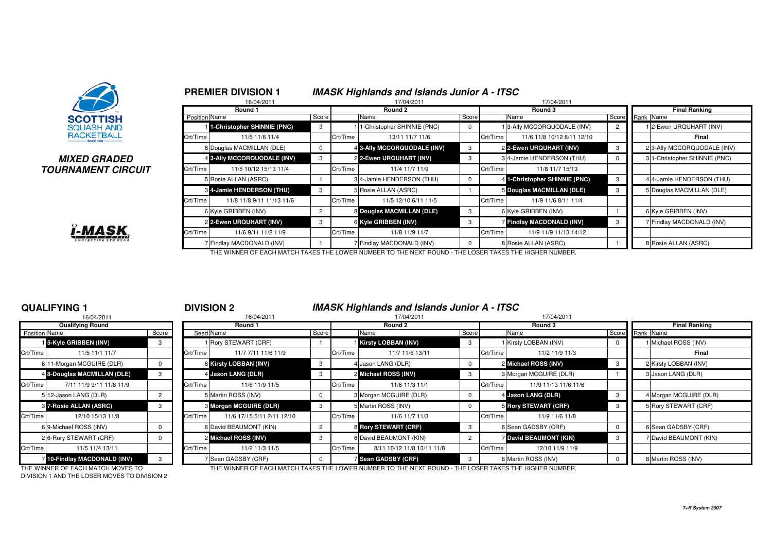

### **MIXED GRADEDTOURNAMENT CIRCUIT**



|               | <b>PREMIER DIVISION 1</b>        |                |          | <b>IMASK Highlands and Islands Junior A - ITSC</b> |            |          |                               |                |  |                              |
|---------------|----------------------------------|----------------|----------|----------------------------------------------------|------------|----------|-------------------------------|----------------|--|------------------------------|
|               | 16/04/2011                       |                |          | 17/04/2011                                         |            |          | 17/04/2011                    |                |  |                              |
|               | Round 1                          |                |          | Round 2                                            |            | Round 3  | <b>Final Ranking</b>          |                |  |                              |
| Position Name |                                  | Score          |          | Name                                               | Score      |          | Name                          | Score          |  | Rank Name                    |
|               | 1-Christopher SHINNIE (PNC)      | 3              |          | 1-Christopher SHINNIE (PNC)                        | $^{\rm o}$ |          | 3-Ally MCCORQUODALE (INV)     | $\overline{2}$ |  | 12-Ewen URQUHART (INV)       |
| Crt/Time      | 11/5 11/6 11/4                   |                | Crt/Time | 13/11 11/7 11/6                                    |            | Crt/Time | 11/6 11/8 10/12 8/11 12/10    |                |  | Final                        |
|               | 8 Douglas MACMILLAN (DLE)        | 0              |          | 4 3-Ally MCCORQUODALE (INV)                        | 3          |          | 2 2-Ewen URQUHART (INV)       | 3              |  | 2 3-Ally MCCORQUODALE (INV)  |
|               | 4 3-Ally MCCORQUODALE (INV)      | 3              |          | 2 2-Ewen URQUHART (INV)                            | 3          |          | 3 4-Jamie HENDERSON (THU)     |                |  | 31-Christopher SHINNIE (PNC) |
| Crt/Time      | 11/5 10/12 15/13 11/4            |                | Crt/Time | 11/4 11/7 11/9                                     |            | Crt/Time | 11/8 11/7 15/13               |                |  |                              |
|               | 5 Rosie ALLAN (ASRC)             |                |          | 34-Jamie HENDERSON (THU)                           | 0          |          | 4 1-Christopher SHINNIE (PNC) | 3              |  | 4 4-Jamie HENDERSON (THU)    |
|               | <b>3 4-Jamie HENDERSON (THU)</b> | 3              |          | 5 Rosie ALLAN (ASRC)                               |            |          | 5 Douglas MACMILLAN (DLE)     |                |  | 5 Douglas MACMILLAN (DLE)    |
| Crt/Time      | 11/8 11/8 9/11 11/13 11/6        |                | Crt/Time | 11/5 12/10 6/11 11/5                               |            | Crt/Time | 11/9 11/6 8/11 11/4           |                |  |                              |
|               | 6 Kyle GRIBBEN (INV)             | $\overline{2}$ |          | 8 Douglas MACMILLAN (DLE)                          | 3          |          | 6 Kyle GRIBBEN (INV)          |                |  | 6 Kyle GRIBBEN (INV)         |
|               | 2 2-Ewen URQUHART (INV)          | 3              |          | 6 Kyle GRIBBEN (INV)                               | 3          |          | Findlay MACDONALD (INV)       | 3              |  | 7 Findlay MACDONALD (INV)    |
| Crt/Time      | 11/6 9/11 11/2 11/9              |                | Crt/Time | 11/8 11/9 11/7                                     |            | Crt/Time | 11/9 11/9 11/13 14/12         |                |  |                              |
|               | 7 Findlay MACDONALD (INV)        |                |          | 7 Findlay MACDONALD (INV)                          | 0          |          | 8 Rosie ALLAN (ASRC)          |                |  | 8 Rosie ALLAN (ASRC)         |

THE WINNER OF EACH MATCH TAKES THE LOWER NUMBER TO THE NEXT ROUND - THE LOSER TAKES THE HIGHER NUMBER.

# **QUALIFYING 1**

|                      | 16/04/2011                   |                |                |
|----------------------|------------------------------|----------------|----------------|
|                      | <b>Qualifying Round</b>      |                |                |
| <b>Position Name</b> |                              | Score          | Seed           |
|                      | 15-Kyle GRIBBEN (INV)        | 3              |                |
| Crt/Time             | 11/5 11/1 11/7               |                | Crt/Time       |
|                      | 8 11-Morgan MCGUIRE (DLR)    | 0              | 8              |
|                      | 4 8-Douglas MACMILLAN (DLE)  | 3              | 4              |
| Crt/Time             | 7/11 11/9 9/11 11/8 11/9     |                | Crt/Time       |
|                      | 5 12-Jason LANG (DLR)        | $\overline{2}$ | 5              |
|                      | 87-Rosie ALLAN (ASRC)        | 3              | 3              |
| Crt/Time             | 12/10 15/13 11/8             |                | Crt/Time       |
|                      | 6 9-Michael ROSS (INV)       | U              | 6              |
|                      | 2 6-Rory STEWART (CRF)       | $\Omega$       | $\overline{2}$ |
| Crt/Time             | 11/5 11/4 13/11              |                | Crt/Time       |
|                      | 7 10-Findlay MACDONALD (INV) | 3              | 7              |

### <sup>1</sup> **DIVISION 2 IMASK Highlands and Islands Junior A - ITSC**

|               | 16/04/2011                   |              | 16/04/2011 |                            |                |          | 17/04/2011                 |        |          | 17/04/2011                  |       |           |                        |
|---------------|------------------------------|--------------|------------|----------------------------|----------------|----------|----------------------------|--------|----------|-----------------------------|-------|-----------|------------------------|
|               | <b>Qualifying Round</b>      |              |            | Round 1                    |                |          | Round 2                    |        |          | Round 3                     |       |           | <b>Final Ranking</b>   |
| Position Name |                              | Score        |            | Seed Name                  | Score          |          | Name                       | Score  |          | Name                        | Score | Rank Name |                        |
|               | 15-Kyle GRIBBEN (INV)        | 3            |            | 1 Rory STEWART (CRF)       |                |          | Kirsty LOBBAN (INV)        |        |          | 1 Kirsty LOBBAN (INV)       |       |           | 1 Michael ROSS (INV)   |
| Crt/Time      | 11/5 11/1 11/7               |              | Crt/Time   | 11/7 7/11 11/6 11/9        |                | Crt/Time | 11/7 11/6 13/11            |        | Crt/Time | 11/2 11/9 11/3              |       |           | Final                  |
|               | 8 11-Morgan MCGUIRE (DLR)    |              |            | 8 Kirsty LOBBAN (INV)      | 3              |          | 4 Jason LANG (DLR)         | 0      |          | 2 Michael ROSS (INV)        |       |           | 2 Kirsty LOBBAN (INV)  |
|               | 4 8-Douglas MACMILLAN (DLE)  | 3            |            | 4 Jason LANG (DLR)         | -3             |          | 2 Michael ROSS (INV)       |        |          | 3 Morgan MCGUIRE (DLR)      |       |           | 3 Jason LANG (DLR)     |
| Crt/Time      | 7/11 11/9 9/11 11/8 11/9     |              | Crt/Time   | 11/6 11/9 11/5             |                | Crt/Time | 11/6 11/3 11/1             |        | Crt/Time | 11/9 11/13 11/6 11/6        |       |           |                        |
|               | 5 12-Jason LANG (DLR)        |              |            | 5 Martin ROSS (INV)        |                |          | 3 Morgan MCGUIRE (DLR)     |        |          | 4 Jason LANG (DLR)          |       |           | 4 Morgan MCGUIRE (DLR) |
|               | 3 7-Rosie ALLAN (ASRC)       | 3            |            | 3 Morgan MCGUIRE (DLR)     | -3             |          | 5 Martin ROSS (INV)        | 0      |          | 5 Rory STEWART (CRF)        |       |           | 5 Rory STEWART (CRF)   |
| Crt/Time      | 12/10 15/13 11/8             |              | Crt/Time   | 11/6 17/15 5/11 2/11 12/10 |                | Crt/Time | 11/6 11/7 11/3             |        | Crt/Time | 11/9 11/6 11/8              |       |           |                        |
|               | 69-Michael ROSS (INV)        | <sup>0</sup> |            | 6 David BEAUMONT (KIN)     | $\overline{c}$ |          | 8 Rory STEWART (CRF)       | -3     |          | 6 Sean GADSBY (CRF)         |       |           | 6 Sean GADSBY (CRF)    |
|               | 26-Rory STEWART (CRF)        | 0            |            | 2 Michael ROSS (INV)       | -3             |          | 6 David BEAUMONT (KIN)     | $^{2}$ |          | <b>David BEAUMONT (KIN)</b> |       |           | 7 David BEAUMONT (KIN) |
| Crt/Time      | 11/5 11/4 13/11              |              | Crt/Time   | 11/2 11/3 11/5             |                | Crt/Time | 8/11 10/12 11/8 13/11 11/8 |        | Crt/Time | 12/10 11/9 11/9             |       |           |                        |
|               | 7 10-Findlay MACDONALD (INV) | 3            |            | 7 Sean GADSBY (CRF)        |                |          | <b>7 Sean GADSBY (CRF)</b> |        |          | 8 Martin ROSS (INV)         |       |           | 8 Martin ROSS (INV)    |

DIVISION 1 AND THE LOSER MOVES TO DIVISION 2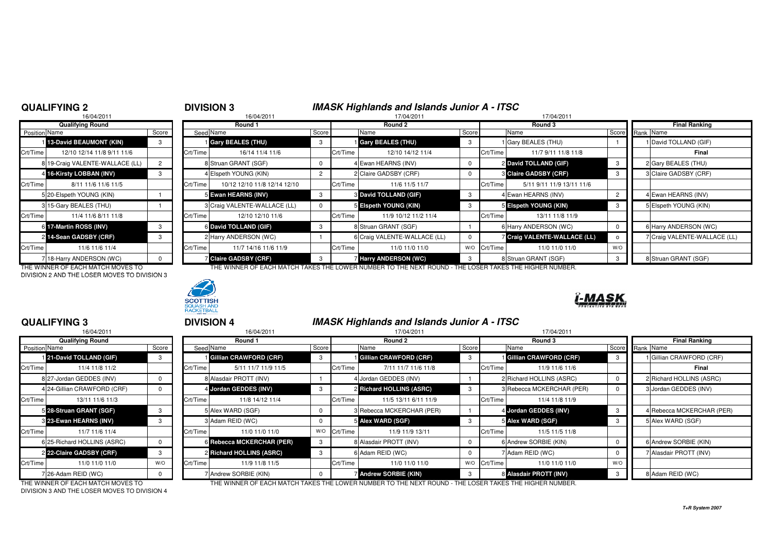## **QUALIFYING 2**

# <sup>2</sup> **DIVISION 3 IMASK Highlands and Islands Junior A - ITSC** <sup>8</sup> 16/04/2011 17/04/2011 17/04/2011

|                | 16/04/2011                      |       |                |
|----------------|---------------------------------|-------|----------------|
|                | <b>Qualifying Round</b>         |       |                |
| Position Name  |                                 | Score | Seed           |
|                | 1 13-David BEAUMONT (KIN)       | 3     |                |
| Crt/Time       | 12/10 12/14 11/8 9/11 11/6      |       | Crt/Time       |
|                | 8 19-Craig VALENTE-WALLACE (LL) | 2     | 8              |
| $\overline{4}$ | 16-Kirsty LOBBAN (INV)          | 3     | 4              |
| Crt/Time       | 8/11 11/6 11/6 11/5             |       | Crt/Time       |
|                | 5 20-Elspeth YOUNG (KIN)        |       | 5              |
|                | 3 15-Gary BEALES (THU)          |       | 3              |
| Crt/Time       | 11/4 11/6 8/11 11/8             |       | Crt/Time       |
| 6              | 17-Martin ROSS (INV)            | 3     | 6              |
| $\overline{2}$ | 14-Sean GADSBY (CRF)            | 3     | $\overline{2}$ |
| Crt/Time       | 11/6 11/6 11/4                  |       | Crt/Time       |
|                | 7 18-Harry ANDERSON (WC)        | U     | 7              |

DIVISION 2 AND THE LOSER MOVES TO DIVISION 3



|                            |                                                                                                                                                                                                                                                                                                  |                  | Round 1                      |                                                                                                                                                                                                                                      |          | Round 2              |                                                                                                                                                                                                                                                 |  |                           |                                                                                                                                                                                                                                                                   | <b>Final Ranking</b>         |  |
|----------------------------|--------------------------------------------------------------------------------------------------------------------------------------------------------------------------------------------------------------------------------------------------------------------------------------------------|------------------|------------------------------|--------------------------------------------------------------------------------------------------------------------------------------------------------------------------------------------------------------------------------------|----------|----------------------|-------------------------------------------------------------------------------------------------------------------------------------------------------------------------------------------------------------------------------------------------|--|---------------------------|-------------------------------------------------------------------------------------------------------------------------------------------------------------------------------------------------------------------------------------------------------------------|------------------------------|--|
|                            | Score                                                                                                                                                                                                                                                                                            |                  |                              | Score                                                                                                                                                                                                                                |          | Name                 |                                                                                                                                                                                                                                                 |  | Name                      |                                                                                                                                                                                                                                                                   | Score Rank Name              |  |
|                            |                                                                                                                                                                                                                                                                                                  |                  |                              | 3                                                                                                                                                                                                                                    |          |                      |                                                                                                                                                                                                                                                 |  |                           |                                                                                                                                                                                                                                                                   | 1 David TOLLAND (GIF)        |  |
| 12/10 12/14 11/8 9/11 11/6 |                                                                                                                                                                                                                                                                                                  | Crt/Time         | 16/14 11/4 11/6              |                                                                                                                                                                                                                                      |          | 12/10 14/12 11/4     |                                                                                                                                                                                                                                                 |  | 11/7 9/11 11/8 11/8       |                                                                                                                                                                                                                                                                   | Final                        |  |
|                            |                                                                                                                                                                                                                                                                                                  |                  |                              |                                                                                                                                                                                                                                      |          |                      |                                                                                                                                                                                                                                                 |  |                           |                                                                                                                                                                                                                                                                   | 2 Gary BEALES (THU)          |  |
|                            |                                                                                                                                                                                                                                                                                                  |                  |                              | $\overline{2}$                                                                                                                                                                                                                       |          |                      |                                                                                                                                                                                                                                                 |  |                           |                                                                                                                                                                                                                                                                   | 3 Claire GADSBY (CRF)        |  |
| 8/11 11/6 11/6 11/5        |                                                                                                                                                                                                                                                                                                  | Crt/Time         | 10/12 12/10 11/8 12/14 12/10 |                                                                                                                                                                                                                                      |          | 11/6 11/5 11/7       |                                                                                                                                                                                                                                                 |  | 5/11 9/11 11/9 13/11 11/6 |                                                                                                                                                                                                                                                                   |                              |  |
|                            |                                                                                                                                                                                                                                                                                                  |                  |                              | 3                                                                                                                                                                                                                                    |          |                      |                                                                                                                                                                                                                                                 |  |                           | $\overline{2}$                                                                                                                                                                                                                                                    | 4 Ewan HEARNS (INV)          |  |
|                            |                                                                                                                                                                                                                                                                                                  |                  |                              |                                                                                                                                                                                                                                      |          |                      |                                                                                                                                                                                                                                                 |  |                           |                                                                                                                                                                                                                                                                   | 5 Elspeth YOUNG (KIN)        |  |
| 11/4 11/6 8/11 11/8        |                                                                                                                                                                                                                                                                                                  | Crt/Time         | 12/10 12/10 11/6             |                                                                                                                                                                                                                                      | Crt/Time | 11/9 10/12 11/2 11/4 |                                                                                                                                                                                                                                                 |  | 13/11 11/8 11/9           |                                                                                                                                                                                                                                                                   |                              |  |
|                            |                                                                                                                                                                                                                                                                                                  |                  |                              | 3                                                                                                                                                                                                                                    |          |                      |                                                                                                                                                                                                                                                 |  |                           |                                                                                                                                                                                                                                                                   | 6 Harry ANDERSON (WC)        |  |
|                            |                                                                                                                                                                                                                                                                                                  |                  |                              |                                                                                                                                                                                                                                      |          |                      |                                                                                                                                                                                                                                                 |  |                           |                                                                                                                                                                                                                                                                   | 7 Craig VALENTE-WALLACE (LL) |  |
| 11/6 11/6 11/4             |                                                                                                                                                                                                                                                                                                  |                  | 11/7 14/16 11/6 11/9         |                                                                                                                                                                                                                                      | Crt/Time | 11/0 11/0 11/0       | W/O                                                                                                                                                                                                                                             |  | 11/0 11/0 11/0            | W/C                                                                                                                                                                                                                                                               |                              |  |
|                            |                                                                                                                                                                                                                                                                                                  |                  |                              | $\mathcal{R}$                                                                                                                                                                                                                        |          |                      |                                                                                                                                                                                                                                                 |  |                           |                                                                                                                                                                                                                                                                   | 8 Struan GRANT (SGF)         |  |
|                            | Position Name<br>13-David BEAUMONT (KIN)<br>Crt/Time  <br>8 19-Craig VALENTE-WALLACE (LL)<br>4 16-Kirsty LOBBAN (INV)<br>Crt/Time I<br>5 20-Elspeth YOUNG (KIN)<br>3 15-Gary BEALES (THU)<br>Crt/Time<br>6 17-Martin ROSS (INV)<br>2 14-Sean GADSBY (CRF)<br>Crt/Time<br>718-Harry ANDERSON (WC) | Qualifying Round |                              | Seed Name<br>Gary BEALES (THU)<br>8 Struan GRANT (SGF)<br>4 Elspeth YOUNG (KIN)<br>5 Ewan HEARNS (INV)<br>3 Craig VALENTE-WALLACE (LL)<br>6 David TOLLAND (GIF)<br>2 Harry ANDERSON (WC)<br>Crt/Time<br><b>Z Claire GADSBY (CRF)</b> |          |                      | <b>Gary BEALES (THU)</b><br>Crt/Time<br>4 Ewan HEARNS (INV)<br>2 Claire GADSBY (CRF)<br>Crt/Time<br><b>8 David TOLLAND (GIF)</b><br>5 Elspeth YOUNG (KIN)<br>8 Struan GRANT (SGF)<br>6 Craig VALENTE-WALLACE (LL)<br><b>Harry ANDERSON (WC)</b> |  | Score                     | Round 3<br>1 Gary BEALES (THU)<br>Crt/Time<br>2 David TOLLAND (GIF)<br>3 Claire GADSBY (CRF)<br>Crt/Time<br>4 Ewan HEARNS (INV)<br>5 Elspeth YOUNG (KIN)<br>Crt/Time<br>6 Harry ANDERSON (WC)<br>7 Craig VALENTE-WALLACE (LL)<br>Crt/Time<br>8 Struan GRANT (SGF) |                              |  |

THE WINNER OF EACH MATCH MOVES TO THE WINNER OF EACH MATCH TAKES THE LOWER NUMBER TO THE NEXT ROUND - THE LOSER TAKES THE HIGHER NUMBER.



# **QUALIFYING 3**

|               | 16/04/2011                  |          |          | 16/04/2011                   |
|---------------|-----------------------------|----------|----------|------------------------------|
|               | <b>Qualifying Round</b>     |          |          | Round 1                      |
| Position Name |                             | Score    |          | Seed Name                    |
|               | 121-David TOLLAND (GIF)     | 3        |          | <b>Gillian CRAWFORD (CRI</b> |
| Crt/Time      | 11/4 11/8 11/2              |          | Crt/Time | 5/11 11/7 11/9 1             |
|               | 8 27-Jordan GEDDES (INV)    | $\Omega$ |          | 8 Alasdair PROTT (INV)       |
|               | 4 24-Gillian CRAWFORD (CRF) | $\Omega$ |          | 4 Jordan GEDDES (INV)        |
| Crt/Time      | 13/11 11/6 11/3             |          | Crt/Time | 11/8 14/12 11/4              |
|               | 5 28-Struan GRANT (SGF)     | 3        |          | 5 Alex WARD (SGF)            |
|               | 8 23-Ewan HEARNS (INV)      | 3        |          | 3 Adam REID (WC)             |
| Crt/Time      | 11/7 11/6 11/4              |          | Crt/Time | 11/0 11/0 11/0               |
|               | 6 25-Richard HOLLINS (ASRC) | $\Omega$ |          | 6 Rebecca MCKERCHAR (        |
|               | 2 22-Claire GADSBY (CRF)    | 3        |          | 2 Richard HOLLINS (ASRO      |
| Crt/Time      | 11/0 11/0 11/0              | W/O      | Crt/Time | 11/9 11/8 11/5               |
|               | 726-Adam REID (WC)          | $\Omega$ |          | 7 Andrew SORBIE (KIN)        |

<sup>3</sup> **DIVISION 4 IMASK Highlands and Islands Junior A - ITSC**

| 16/04/2011                  |       |          | 16/04/2011          |                                                                                                                                                                                                                   | 17/04/2011                                   |                                                                                                                                                                                                  |          | 17/04/2011            |                                                                                                                                                                                                                     |                      |                           |
|-----------------------------|-------|----------|---------------------|-------------------------------------------------------------------------------------------------------------------------------------------------------------------------------------------------------------------|----------------------------------------------|--------------------------------------------------------------------------------------------------------------------------------------------------------------------------------------------------|----------|-----------------------|---------------------------------------------------------------------------------------------------------------------------------------------------------------------------------------------------------------------|----------------------|---------------------------|
| <b>Qualifying Round</b>     |       |          | Round 1             |                                                                                                                                                                                                                   | Round 2                                      |                                                                                                                                                                                                  |          | Round 3               |                                                                                                                                                                                                                     | <b>Final Ranking</b> |                           |
| <b>Position Name</b>        | Score |          |                     | Score                                                                                                                                                                                                             | Name                                         |                                                                                                                                                                                                  |          |                       |                                                                                                                                                                                                                     |                      |                           |
| 121-David TOLLAND (GIF)     | 3     |          |                     | 3                                                                                                                                                                                                                 |                                              |                                                                                                                                                                                                  |          |                       | -3                                                                                                                                                                                                                  |                      | 1 Gillian CRAWFORD (CRF)  |
| 11/4 11/8 11/2              |       | Crt/Time | 5/11 11/7 11/9 11/5 |                                                                                                                                                                                                                   | 7/11 11/7 11/6 11/8                          |                                                                                                                                                                                                  | Crt/Time | 11/9 11/6 11/6        |                                                                                                                                                                                                                     |                      | Final                     |
| 8 27-Jordan GEDDES (INV)    |       |          |                     |                                                                                                                                                                                                                   |                                              |                                                                                                                                                                                                  |          |                       |                                                                                                                                                                                                                     |                      | 2 Richard HOLLINS (ASRC)  |
| 4 24-Gillian CRAWFORD (CRF) |       |          |                     |                                                                                                                                                                                                                   |                                              |                                                                                                                                                                                                  |          |                       |                                                                                                                                                                                                                     |                      | 3 Jordan GEDDES (INV)     |
| 13/11 11/6 11/3             |       | Crt/Time | 11/8 14/12 11/4     |                                                                                                                                                                                                                   | 11/5 13/11 6/11 11/9                         |                                                                                                                                                                                                  | Crt/Time | 11/4 11/8 11/9        |                                                                                                                                                                                                                     |                      |                           |
| 5 28-Struan GRANT (SGF)     | 3     |          |                     | 0                                                                                                                                                                                                                 |                                              |                                                                                                                                                                                                  |          |                       | - 3                                                                                                                                                                                                                 |                      | 4 Rebecca MCKERCHAR (PER) |
| 3 23-Ewan HEARNS (INV)      |       |          |                     | $\mathbf 0$                                                                                                                                                                                                       |                                              |                                                                                                                                                                                                  |          |                       |                                                                                                                                                                                                                     |                      | 5 Alex WARD (SGF)         |
| 11/7 11/6 11/4              |       | Crt/Time | 11/0 11/0 11/0      | W/O                                                                                                                                                                                                               | 11/9 11/9 13/11                              |                                                                                                                                                                                                  | Crt/Time | 11/5 11/5 11/8        |                                                                                                                                                                                                                     |                      |                           |
| 6 25-Richard HOLLINS (ASRC) |       |          |                     | - 3                                                                                                                                                                                                               |                                              |                                                                                                                                                                                                  |          |                       |                                                                                                                                                                                                                     |                      | 6 Andrew SORBIE (KIN)     |
| 2 22-Claire GADSBY (CRF)    |       |          |                     |                                                                                                                                                                                                                   |                                              |                                                                                                                                                                                                  |          |                       |                                                                                                                                                                                                                     |                      | 7 Alasdair PROTT (INV)    |
| 11/0 11/0 11/0              | W/O   | Crt/Time | 11/9 11/8 11/5      |                                                                                                                                                                                                                   | 11/0 11/0 11/0                               |                                                                                                                                                                                                  |          | 11/0 11/0 11/0        | W/O                                                                                                                                                                                                                 |                      |                           |
| ' 26-Adam REID (WC)         |       |          |                     |                                                                                                                                                                                                                   |                                              |                                                                                                                                                                                                  |          |                       |                                                                                                                                                                                                                     |                      | 8 Adam REID (WC)          |
|                             |       |          |                     | Seed Name<br>Gillian CRAWFORD (CRF)<br>8 Alasdair PROTT (INV)<br>4 Jordan GEDDES (INV)<br>5 Alex WARD (SGF)<br>3 Adam REID (WC)<br>6 Rebecca MCKERCHAR (PER)<br>2 Richard HOLLINS (ASRC)<br>7 Andrew SORBIE (KIN) | Crt/Time<br>Crt/Time<br>Crt/Time<br>Crt/Time | Gillian CRAWFORD (CRF)<br>Jordan GEDDES (INV)<br>2 Richard HOLLINS (ASRC)<br>3 Rebecca MCKERCHAR (PER)<br>5 Alex WARD (SGF)<br>8 Alasdair PROTT (INV)<br>6 Adam REID (WC)<br>Andrew SORBIE (KIN) |          | Score<br>W/O Crt/Time | Name<br><b>Gillian CRAWFORD (CRF)</b><br>2 Richard HOLLINS (ASRC)<br>3 Rebecca MCKERCHAR (PER)<br>4 Jordan GEDDES (INV)<br>5 Alex WARD (SGF)<br>6 Andrew SORBIE (KIN)<br>7 Adam REID (WC)<br>8 Alasdair PROTT (INV) |                      | Score<br>Rank Name        |

DIVISION 3 AND THE LOSER MOVES TO DIVISION 4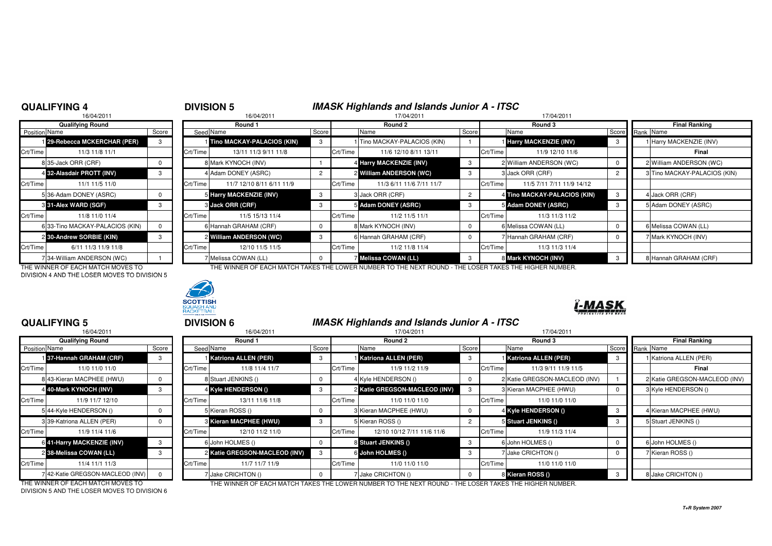## **QUALIFYING 4**

# <sup>4</sup> **DIVISION 5 IMASK Highlands and Islands Junior A - ITSC** <sup>8</sup> 16/04/2011 17/04/2011 17/04/2011

|                      | 16/04/2011                      |          |          |
|----------------------|---------------------------------|----------|----------|
|                      | <b>Qualifying Round</b>         |          |          |
| <b>Position Name</b> |                                 | Score    | Seed     |
|                      | 129-Rebecca MCKERCHAR (PER)     | 3        |          |
| Crt/Time             | 11/3 11/8 11/1                  |          | Crt/Time |
| 8                    | 35-Jack ORR (CRF)               | 0        | 8        |
|                      | 4 32-Alasdair PROTT (INV)       | 3        | 4        |
| Crt/Time             | 11/1 11/5 11/0                  |          | Crt/Time |
|                      | 5 36-Adam DONEY (ASRC)          | $\Omega$ | 5        |
|                      | 3 31-Alex WARD (SGF)            | 3        | 3        |
| Crt/Time             | 11/8 11/0 11/4                  |          | Crt/Time |
|                      | 6 33-Tino MACKAY-PALACIOS (KIN) | 0        | 6        |
|                      | 2 30-Andrew SORBIE (KIN)        | 3        | 2        |
| Crt/Time             | 6/11 11/3 11/9 11/8             |          | Crt/Time |
|                      | 34-William ANDERSON (WC)        |          |          |

DIVISION 4 AND THE LOSER MOVES TO DIVISION 5



| Qualifying Round    |                                                                                                                                                                                                                                                                                                     | Round 1                   |                                                                                                                                                                                                                                                                  |          | Round 2                          |                                                                                                                                                                                                     | Round 3                                               |                                                                                                                                                                                                                    | <b>Final Ranking</b>         |
|---------------------|-----------------------------------------------------------------------------------------------------------------------------------------------------------------------------------------------------------------------------------------------------------------------------------------------------|---------------------------|------------------------------------------------------------------------------------------------------------------------------------------------------------------------------------------------------------------------------------------------------------------|----------|----------------------------------|-----------------------------------------------------------------------------------------------------------------------------------------------------------------------------------------------------|-------------------------------------------------------|--------------------------------------------------------------------------------------------------------------------------------------------------------------------------------------------------------------------|------------------------------|
|                     | Score                                                                                                                                                                                                                                                                                               |                           | Score                                                                                                                                                                                                                                                            |          | Name                             |                                                                                                                                                                                                     |                                                       |                                                                                                                                                                                                                    | Score Rank Name              |
|                     |                                                                                                                                                                                                                                                                                                     |                           | 3                                                                                                                                                                                                                                                                |          |                                  |                                                                                                                                                                                                     |                                                       |                                                                                                                                                                                                                    | 1 Harry MACKENZIE (INV)      |
| 11/3 11/8 11/1      |                                                                                                                                                                                                                                                                                                     | 13/11 11/3 9/11 11/8      |                                                                                                                                                                                                                                                                  |          | 11/6 12/10 8/11 13/11            |                                                                                                                                                                                                     | 11/9 12/10 11/6                                       |                                                                                                                                                                                                                    | Final                        |
|                     |                                                                                                                                                                                                                                                                                                     |                           |                                                                                                                                                                                                                                                                  |          |                                  |                                                                                                                                                                                                     |                                                       |                                                                                                                                                                                                                    | 2 William ANDERSON (WC)      |
|                     |                                                                                                                                                                                                                                                                                                     |                           |                                                                                                                                                                                                                                                                  |          |                                  |                                                                                                                                                                                                     |                                                       |                                                                                                                                                                                                                    | 3 Tino MACKAY-PALACIOS (KIN) |
| 11/1 11/5 11/0      |                                                                                                                                                                                                                                                                                                     | 11/7 12/10 8/11 6/11 11/9 |                                                                                                                                                                                                                                                                  |          | 11/3 6/11 11/6 7/11 11/7         |                                                                                                                                                                                                     | 11/5 7/11 7/11 11/9 14/12                             |                                                                                                                                                                                                                    |                              |
|                     |                                                                                                                                                                                                                                                                                                     |                           | 3                                                                                                                                                                                                                                                                |          |                                  |                                                                                                                                                                                                     |                                                       |                                                                                                                                                                                                                    | 4 Jack ORR (CRF)             |
|                     |                                                                                                                                                                                                                                                                                                     |                           |                                                                                                                                                                                                                                                                  |          |                                  |                                                                                                                                                                                                     |                                                       |                                                                                                                                                                                                                    | 5 Adam DONEY (ASRC)          |
| 11/8 11/0 11/4      |                                                                                                                                                                                                                                                                                                     | 11/5 15/13 11/4           |                                                                                                                                                                                                                                                                  | Crt/Time | 11/2 11/5 11/1                   |                                                                                                                                                                                                     | 11/3 11/3 11/2                                        |                                                                                                                                                                                                                    |                              |
|                     |                                                                                                                                                                                                                                                                                                     |                           | $^{\rm o}$                                                                                                                                                                                                                                                       |          |                                  |                                                                                                                                                                                                     |                                                       |                                                                                                                                                                                                                    | 6 Melissa COWAN (LL)         |
|                     |                                                                                                                                                                                                                                                                                                     |                           | 3                                                                                                                                                                                                                                                                |          |                                  |                                                                                                                                                                                                     |                                                       |                                                                                                                                                                                                                    | 7 Mark KYNOCH (INV)          |
| 6/11 11/3 11/9 11/8 |                                                                                                                                                                                                                                                                                                     | 12/10 11/5 11/5           |                                                                                                                                                                                                                                                                  |          | 11/2 11/8 11/4                   |                                                                                                                                                                                                     | 11/3 11/3 11/4                                        |                                                                                                                                                                                                                    |                              |
|                     |                                                                                                                                                                                                                                                                                                     |                           |                                                                                                                                                                                                                                                                  |          |                                  |                                                                                                                                                                                                     |                                                       |                                                                                                                                                                                                                    | 8 Hannah GRAHAM (CRF)        |
|                     | Position Name<br>129-Rebecca MCKERCHAR (PER)<br>Crt/Time<br>8 35-Jack ORR (CRF)<br>4 32-Alasdair PROTT (INV)<br>Crt/Time<br>536-Adam DONEY (ASRC)<br><b>3 31-Alex WARD (SGF)</b><br>Crt/Time<br>6 33-Tino MACKAY-PALACIOS (KIN)<br>2 30-Andrew SORBIE (KIN)<br>Crt/Time<br>34-William ANDERSON (WC) |                           | Seed Name<br>Tino MACKAY-PALACIOS (KIN)<br>Crt/Time<br>8 Mark KYNOCH (INV)<br>4 Adam DONEY (ASRC)<br>Crt/Time<br>5 Harry MACKENZIE (INV)<br>3 Jack ORR (CRF)<br>Crt/Time<br>6 Hannah GRAHAM (CRF)<br>2 William ANDERSON (WC)<br>Crt/Time<br>7 Melissa COWAN (LL) |          | Crt/Time<br>Crt/Time<br>Crt/Time | 1 Tino MACKAY-PALACIOS (KIN)<br>4 Harry MACKENZIE (INV)<br>2 William ANDERSON (WC)<br>3 Jack ORR (CRF)<br>5 Adam DONEY (ASRC)<br>8 Mark KYNOCH (INV)<br>6 Hannah GRAHAM (CRF)<br>Melissa COWAN (LL) | Score<br>Crt/Time<br>Crt/Time<br>Crt/Time<br>Crt/Time | Name<br><b>Harry MACKENZIE (INV)</b><br>2 William ANDERSON (WC)<br>3 Jack ORR (CRF)<br>4 Tino MACKAY-PALACIOS (KIN)<br>5 Adam DONEY (ASRC)<br>6 Melissa COWAN (LL)<br>7 Hannah GRAHAM (CRF)<br>8 Mark KYNOCH (INV) |                              |

THE WINNER OF EACH MATCH MOVES TO THE WINNER OF EACH MATCH TAKES THE LOWER NUMBER TO THE NEXT ROUND - THE LOSER TAKES THE HIGHER NUMBER.



## **QUALIFYING 5**

|               | 16/04/2011                       |       |                |
|---------------|----------------------------------|-------|----------------|
|               | <b>Qualifying Round</b>          |       |                |
| Position Name |                                  | Score | Seed           |
|               | 137-Hannah GRAHAM (CRF)          | 3     |                |
| Crt/Time      | 11/0 11/0 11/0                   |       | Crt/Time       |
|               | 8 43-Kieran MACPHEE (HWU)        | 0     | 8              |
|               | 4 40-Mark KYNOCH (INV)           | 3     | 4              |
| Crt/Time      | 11/9 11/7 12/10                  |       | Crt/Time       |
|               | 544-Kyle HENDERSON ()            | 0     | 5              |
|               | 3 39-Katriona ALLEN (PER)        | 0     | 3              |
| Crt/Time      | 11/9 11/4 11/6                   |       | Crt/Time       |
|               | 6 41-Harry MACKENZIE (INV)       | 3     | 6              |
|               | 2 38-Melissa COWAN (LL)          | 3     | $\overline{2}$ |
| Crt/Time      | 11/4 11/1 11/3                   |       | Crt/Time       |
|               | 7 42-Katie GREGSON-MACLEOD (INV) | O     | 7              |

|               | QUALIFYING 5                    |          |          | <b>DIVISION 6</b>             |       |          | <b>IMASK Highlands and Islands Junior A - ITSC</b> |                |          |                               |                 |                               |
|---------------|---------------------------------|----------|----------|-------------------------------|-------|----------|----------------------------------------------------|----------------|----------|-------------------------------|-----------------|-------------------------------|
|               | 16/04/2011                      |          |          | 16/04/2011                    |       |          | 17/04/2011                                         |                |          | 17/04/2011                    |                 |                               |
|               | <b>Qualifying Round</b>         |          |          | Round 1                       |       |          | Round 2                                            |                |          | Round 3                       |                 | <b>Final Ranking</b>          |
| Position Name |                                 | Score    |          | Seed Name                     | Score |          | Name                                               | Score          |          | Name                          | Score Rank Name |                               |
|               | 137-Hannah GRAHAM (CRF)         | 3        |          | <b>Katriona ALLEN (PER)</b>   | 3     |          | <b>Katriona ALLEN (PER)</b>                        | 3              |          | <b>Katriona ALLEN (PER)</b>   | -3              | 1 Katriona ALLEN (PER)        |
| Crt/Time      | 11/0 11/0 11/0                  |          | Crt/Time | 11/8 11/4 11/7                |       | Crt/Time | 11/9 11/2 11/9                                     |                | Crt/Time | 11/3 9/11 11/9 11/5           |                 | Final                         |
|               | 843-Kieran MACPHEE (HWU)        | $\Omega$ |          | 8 Stuart JENKINS ()           |       |          | 4 Kyle HENDERSON ()                                | $\mathbf 0$    |          | 2 Katie GREGSON-MACLEOD (INV) |                 | 2 Katie GREGSON-MACLEOD (INV) |
|               | 4 40-Mark KYNOCH (INV)          | 3        |          | 4 Kyle HENDERSON ()           |       |          | 2 Katie GREGSON-MACLEOD (INV)                      | 3              |          | 3 Kieran MACPHEE (HWU)        |                 | 3 Kyle HENDERSON ()           |
| Crt/Time      | 11/9 11/7 12/10                 |          | Crt/Time | 13/11 11/6 11/8               |       | Crt/Time | 11/0 11/0 11/0                                     |                | Crt/Time | 11/0 11/0 11/0                |                 |                               |
|               | 544-Kyle HENDERSON ()           |          |          | 5 Kieran ROSS ()              |       |          | 3 Kieran MACPHEE (HWU)                             | $\mathbf 0$    |          | 4 Kyle HENDERSON ()           | -3              | 4 Kieran MACPHEE (HWU)        |
|               | 3139-Katriona ALLEN (PER)       |          |          | 3 Kieran MACPHEE (HWU)        |       |          | 5 Kieran ROSS ()                                   | $\overline{2}$ |          | 5 Stuart JENKINS ()           |                 | 5 Stuart JENKINS ()           |
| Crt/Time      | 11/9 11/4 11/6                  |          | Crt/Time | 12/10 11/2 11/0               |       | Crt/Time | 12/10 10/12 7/11 11/6 11/6                         |                | Crt/Time | 11/9 11/3 11/4                |                 |                               |
|               | 6 41-Harry MACKENZIE (INV)      | 3        |          | 6 John HOLMES ()              |       |          | 8 Stuart JENKINS ()                                | -3             |          | 6 John HOLMES ()              |                 | 6 John HOLMES ()              |
|               | 2 38-Melissa COWAN (LL)         | 3        |          | 2 Katie GREGSON-MACLEOD (INV) |       |          | 6 John HOLMES ()                                   | 3              |          | 7 Jake CRICHTON ()            |                 | 7 Kieran ROSS ()              |
| Crt/Time      | 11/4 11/1 11/3                  |          | Crt/Time | 11/7 11/7 11/9                |       | Crt/Time | 11/0 11/0 11/0                                     |                | Crt/Time | 11/0 11/0 11/0                |                 |                               |
|               | 742-Katie GREGSON-MACLEOD (INV) |          |          | / Jake CRICHTON ()            |       |          | Jake CRICHTON ()                                   | $^{\circ}$     |          | 8 Kieran ROSS ()              |                 | 8 Jake CRICHTON ()            |

DIVISION 5 AND THE LOSER MOVES TO DIVISION 6